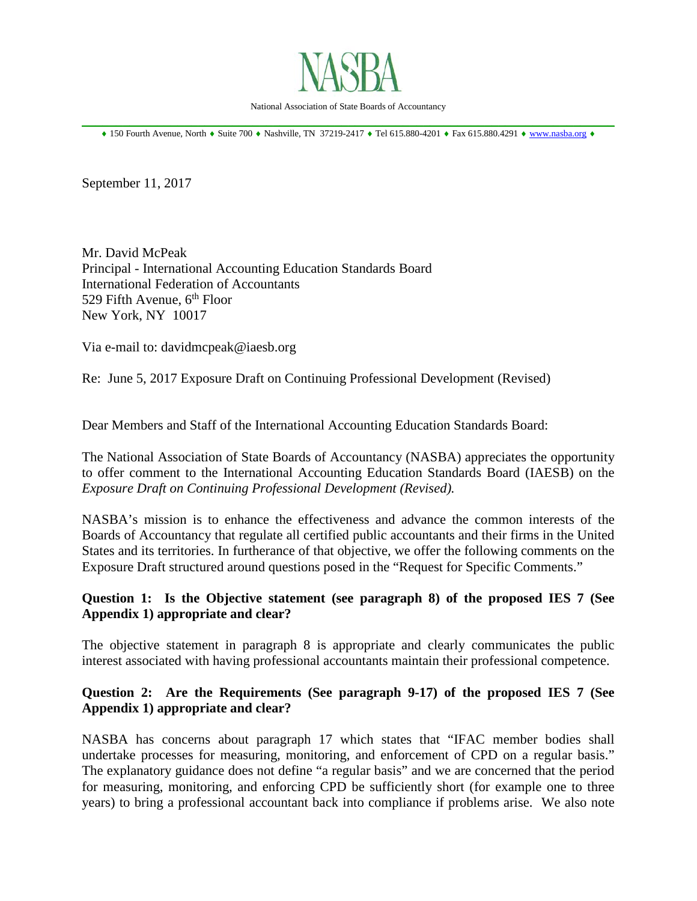

National Association of State Boards of Accountancy

\_\_\_\_\_\_\_\_\_\_\_\_\_\_\_\_\_\_\_\_\_\_\_\_\_\_\_\_\_\_\_\_\_\_\_\_\_\_\_\_\_\_\_\_\_\_\_\_\_\_\_\_\_\_\_\_\_\_\_\_\_\_\_\_\_\_\_\_\_\_\_\_\_\_\_\_\_\_ ♦ 150 Fourth Avenue, North ♦ Suite 700 ♦ Nashville, TN 37219-2417 ♦ Tel 615.880-4201 ♦ Fax 615.880.4291 ♦ [www.nasba.org](http://www.nasba.org/) ♦

September 11, 2017

Mr. David McPeak Principal - International Accounting Education Standards Board International Federation of Accountants 529 Fifth Avenue,  $6<sup>th</sup>$  Floor New York, NY 10017

Via e-mail to: davidmcpeak@iaesb.org

Re: June 5, 2017 Exposure Draft on Continuing Professional Development (Revised)

Dear Members and Staff of the International Accounting Education Standards Board:

The National Association of State Boards of Accountancy (NASBA) appreciates the opportunity to offer comment to the International Accounting Education Standards Board (IAESB) on the *Exposure Draft on Continuing Professional Development (Revised).* 

NASBA's mission is to enhance the effectiveness and advance the common interests of the Boards of Accountancy that regulate all certified public accountants and their firms in the United States and its territories. In furtherance of that objective, we offer the following comments on the Exposure Draft structured around questions posed in the "Request for Specific Comments."

# **Question 1: Is the Objective statement (see paragraph 8) of the proposed IES 7 (See Appendix 1) appropriate and clear?**

The objective statement in paragraph 8 is appropriate and clearly communicates the public interest associated with having professional accountants maintain their professional competence.

# **Question 2: Are the Requirements (See paragraph 9-17) of the proposed IES 7 (See Appendix 1) appropriate and clear?**

NASBA has concerns about paragraph 17 which states that "IFAC member bodies shall undertake processes for measuring, monitoring, and enforcement of CPD on a regular basis." The explanatory guidance does not define "a regular basis" and we are concerned that the period for measuring, monitoring, and enforcing CPD be sufficiently short (for example one to three years) to bring a professional accountant back into compliance if problems arise. We also note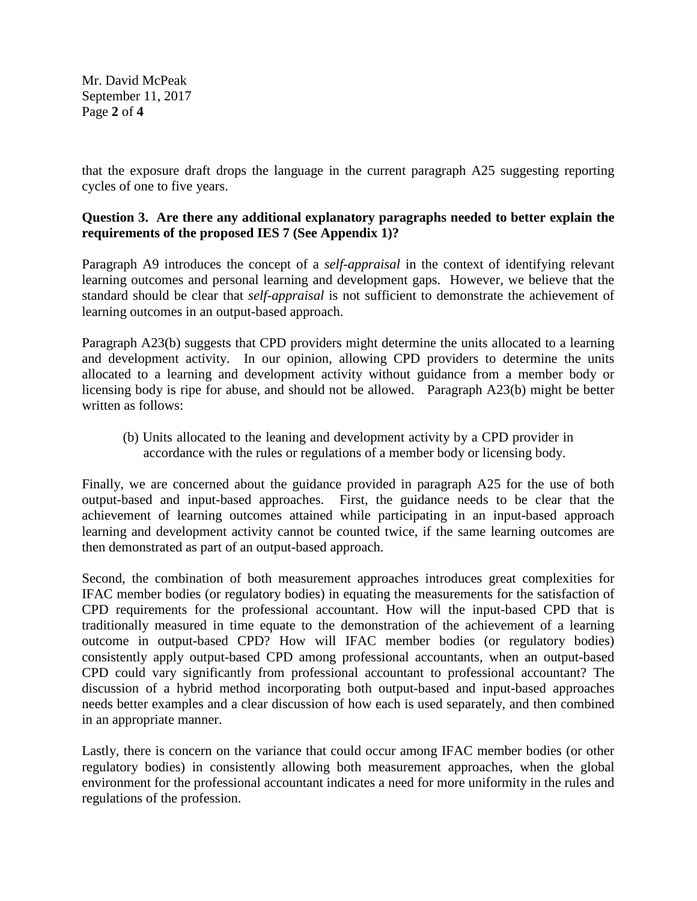Mr. David McPeak September 11, 2017 Page **2** of **4**

that the exposure draft drops the language in the current paragraph A25 suggesting reporting cycles of one to five years.

# **Question 3. Are there any additional explanatory paragraphs needed to better explain the requirements of the proposed IES 7 (See Appendix 1)?**

Paragraph A9 introduces the concept of a *self-appraisal* in the context of identifying relevant learning outcomes and personal learning and development gaps. However, we believe that the standard should be clear that *self-appraisal* is not sufficient to demonstrate the achievement of learning outcomes in an output-based approach.

Paragraph A23(b) suggests that CPD providers might determine the units allocated to a learning and development activity. In our opinion, allowing CPD providers to determine the units allocated to a learning and development activity without guidance from a member body or licensing body is ripe for abuse, and should not be allowed. Paragraph A23(b) might be better written as follows:

(b) Units allocated to the leaning and development activity by a CPD provider in accordance with the rules or regulations of a member body or licensing body.

Finally, we are concerned about the guidance provided in paragraph A25 for the use of both output-based and input-based approaches. First, the guidance needs to be clear that the achievement of learning outcomes attained while participating in an input-based approach learning and development activity cannot be counted twice, if the same learning outcomes are then demonstrated as part of an output-based approach.

Second, the combination of both measurement approaches introduces great complexities for IFAC member bodies (or regulatory bodies) in equating the measurements for the satisfaction of CPD requirements for the professional accountant. How will the input-based CPD that is traditionally measured in time equate to the demonstration of the achievement of a learning outcome in output-based CPD? How will IFAC member bodies (or regulatory bodies) consistently apply output-based CPD among professional accountants, when an output-based CPD could vary significantly from professional accountant to professional accountant? The discussion of a hybrid method incorporating both output-based and input-based approaches needs better examples and a clear discussion of how each is used separately, and then combined in an appropriate manner.

Lastly, there is concern on the variance that could occur among IFAC member bodies (or other regulatory bodies) in consistently allowing both measurement approaches, when the global environment for the professional accountant indicates a need for more uniformity in the rules and regulations of the profession.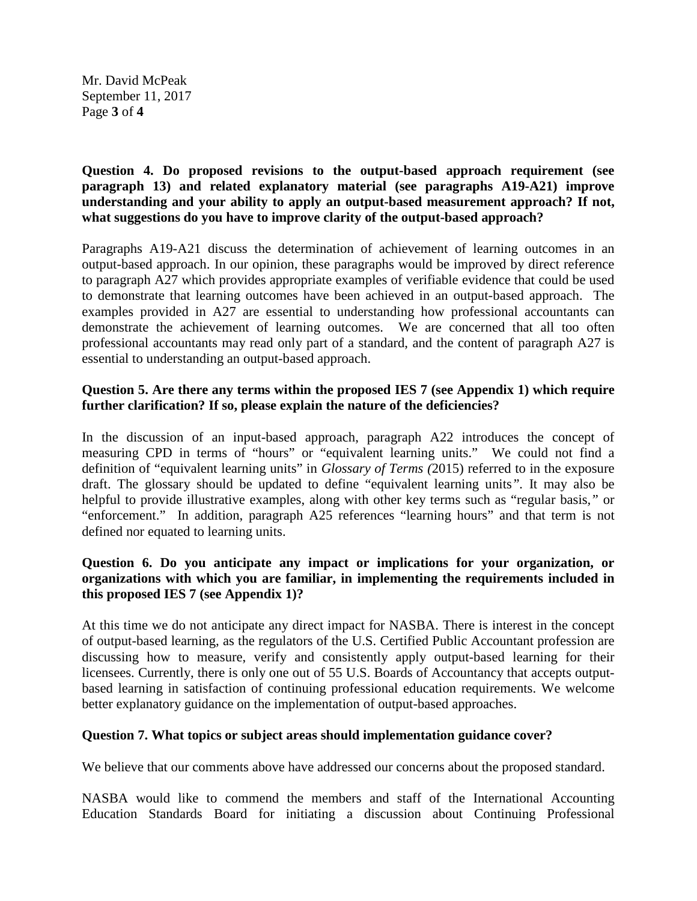Mr. David McPeak September 11, 2017 Page **3** of **4**

## **Question 4. Do proposed revisions to the output-based approach requirement (see paragraph 13) and related explanatory material (see paragraphs A19-A21) improve understanding and your ability to apply an output-based measurement approach? If not, what suggestions do you have to improve clarity of the output-based approach?**

Paragraphs A19-A21 discuss the determination of achievement of learning outcomes in an output-based approach. In our opinion, these paragraphs would be improved by direct reference to paragraph A27 which provides appropriate examples of verifiable evidence that could be used to demonstrate that learning outcomes have been achieved in an output-based approach. The examples provided in A27 are essential to understanding how professional accountants can demonstrate the achievement of learning outcomes. We are concerned that all too often professional accountants may read only part of a standard, and the content of paragraph A27 is essential to understanding an output-based approach.

# **Question 5. Are there any terms within the proposed IES 7 (see Appendix 1) which require further clarification? If so, please explain the nature of the deficiencies?**

In the discussion of an input-based approach, paragraph A22 introduces the concept of measuring CPD in terms of "hours" or "equivalent learning units." We could not find a definition of "equivalent learning units" in *Glossary of Terms (*2015) referred to in the exposure draft. The glossary should be updated to define "equivalent learning units*".* It may also be helpful to provide illustrative examples, along with other key terms such as "regular basis*,"* or "enforcement." In addition, paragraph A25 references "learning hours" and that term is not defined nor equated to learning units.

## **Question 6. Do you anticipate any impact or implications for your organization, or organizations with which you are familiar, in implementing the requirements included in this proposed IES 7 (see Appendix 1)?**

At this time we do not anticipate any direct impact for NASBA. There is interest in the concept of output-based learning, as the regulators of the U.S. Certified Public Accountant profession are discussing how to measure, verify and consistently apply output-based learning for their licensees. Currently, there is only one out of 55 U.S. Boards of Accountancy that accepts outputbased learning in satisfaction of continuing professional education requirements. We welcome better explanatory guidance on the implementation of output-based approaches.

# **Question 7. What topics or subject areas should implementation guidance cover?**

We believe that our comments above have addressed our concerns about the proposed standard.

NASBA would like to commend the members and staff of the International Accounting Education Standards Board for initiating a discussion about Continuing Professional